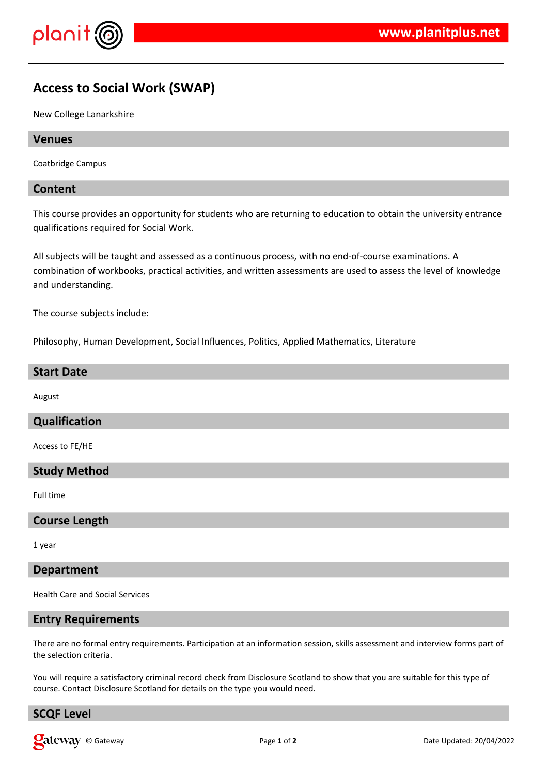

# **Access to Social Work (SWAP)**

New College Lanarkshire

## **Venues**

Coatbridge Campus

## **Content**

This course provides an opportunity for students who are returning to education to obtain the university entrance qualifications required for Social Work.

All subjects will be taught and assessed as a continuous process, with no end-of-course examinations. A combination of workbooks, practical activities, and written assessments are used to assess the level of knowledge and understanding.

The course subjects include:

Philosophy, Human Development, Social Influences, Politics, Applied Mathematics, Literature

## **Start Date**

August

## **Qualification**

Access to FE/HE

## **Study Method**

Full time

### **Course Length**

1 year

#### **Department**

Health Care and Social Services

### **Entry Requirements**

There are no formal entry requirements. Participation at an information session, skills assessment and interview forms part of the selection criteria.

You will require a satisfactory criminal record check from Disclosure Scotland to show that you are suitable for this type of course. Contact Disclosure Scotland for details on the type you would need.

## **SCQF Level**

**Call Example 1** of **2** Date Updated: 20/04/2022 **Page 1** of **2 Date Updated: 20/04/2022**